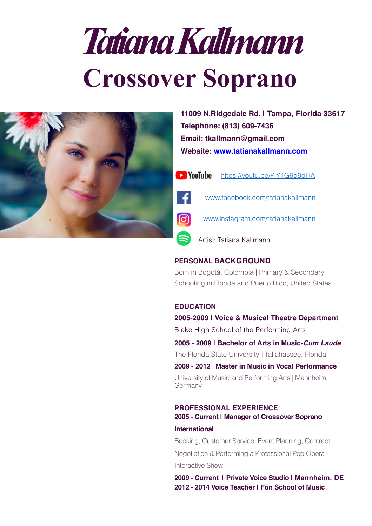# *Tatiana Kallmann*  **Crossover Soprano**



**11009 N.Ridgedale Rd. | Tampa, Florida 33617 Telephone: (813) 609-7436 [Email: tkallmann@gmail.com](mailto:tkallmann@gmail.com) Website: [www.tatianakallmann.com](http://tatianakallmann.com)**

**Ex** YouTube

[https://youtu.be/PlY1G6q9dHA](https://www.youtube.com/watch?v=PlY1G6q9dHA)

[www.facebook.com/tatianakallmann](http://www.facebook.com/tatianakallmann)

[www.instagram.com/tatianakallmann](https://www.instagram.com/tatianakallmann/)

Artist: Tatiana Kallmann

# **PERSONAL BACKGROUND**

Born in Bogotá, Colombia | Primary & Secondary Schooling in Florida and Puerto Rico, United States

#### **EDUCATION**

**2005-2009 | Voice & Musical Theatre Department** Blake High School of the Performing Arts **2005 - 2009 | Bachelor of Arts in Music-***Cum Laude* The Florida State University | Tallahassee, Florida

**2009 - 2012** | **Master in Music in Vocal Performance** University of Music and Performing Arts | Mannheim, **Germany** 

#### **PROFESSIONAL EXPERIENCE 2005 - Current | Manager of Crossover Soprano**

#### **International**

Booking, Customer Service, Event Planning, Contract Negotiation & Performing a Professional Pop Opera Interactive Show

**2009 - Current | Private Voice Studio | Mannheim, DE 2012 - 2014 Voice Teacher | Fön School of Music**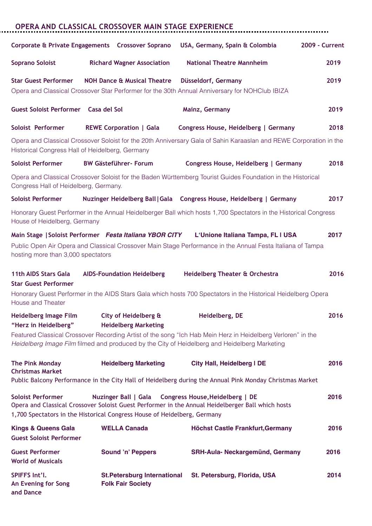|                                                                                 | <b>OPERA AND CLASSICAL CROSSOVER MAIN STAGE EXPERIENCE</b>                                              |                                                                                                                                                                                                             |                       |
|---------------------------------------------------------------------------------|---------------------------------------------------------------------------------------------------------|-------------------------------------------------------------------------------------------------------------------------------------------------------------------------------------------------------------|-----------------------|
|                                                                                 | Corporate & Private Engagements  Crossover Soprano                                                      | USA, Germany, Spain & Colombia                                                                                                                                                                              | <b>2009 - Current</b> |
| <b>Soprano Soloist</b>                                                          | <b>Richard Wagner Association</b>                                                                       | <b>National Theatre Mannheim</b>                                                                                                                                                                            | 2019                  |
| <b>Star Guest Performer</b>                                                     | <b>NOH Dance &amp; Musical Theatre</b>                                                                  | Düsseldorf, Germany<br>Opera and Classical Crossover Star Performer for the 30th Annual Anniversary for NOHClub IBIZA                                                                                       | 2019                  |
| Guest Soloist Performer Casa del Sol                                            |                                                                                                         | Mainz, Germany                                                                                                                                                                                              | 2019                  |
| Soloist Performer                                                               | <b>REWE Corporation   Gala</b>                                                                          | Congress House, Heidelberg   Germany                                                                                                                                                                        | 2018                  |
|                                                                                 | Historical Congress Hall of Heidelberg, Germany                                                         | Opera and Classical Crossover Soloist for the 20th Anniversary Gala of Sahin Karaaslan and REWE Corporation in the                                                                                          |                       |
| <b>Soloist Performer</b>                                                        | <b>BW Gästeführer- Forum</b>                                                                            | Congress House, Heidelberg   Germany                                                                                                                                                                        | 2018                  |
| Congress Hall of Heidelberg, Germany.                                           |                                                                                                         | Opera and Classical Crossover Soloist for the Baden Württemberg Tourist Guides Foundation in the Historical                                                                                                 |                       |
| <b>Soloist Performer</b>                                                        |                                                                                                         | Nuzinger Heidelberg Ball   Gala  Congress House, Heidelberg   Germany                                                                                                                                       | 2017                  |
| House of Heidelberg, Germany                                                    |                                                                                                         | Honorary Guest Performer in the Annual Heidelberger Ball which hosts 1,700 Spectators in the Historical Congress                                                                                            |                       |
| hosting more than 3,000 spectators                                              | Main Stage   Soloist Performer Festa Italiana YBOR CITY                                                 | L'Unione Italiana Tampa, FL I USA<br>Public Open Air Opera and Classical Crossover Main Stage Performance in the Annual Festa Italiana of Tampa                                                             | 2017                  |
| <b>11th AIDS Stars Gala</b><br><b>Star Guest Performer</b><br>House and Theater | <b>AIDS-Foundation Heidelberg</b>                                                                       | Heidelberg Theater & Orchestra<br>Honorary Guest Performer in the AIDS Stars Gala which hosts 700 Spectators in the Historical Heidelberg Opera                                                             | 2016                  |
| <b>Heidelberg Image Film</b><br>"Herz in Heidelberg"                            | City of Heidelberg &<br><b>Heidelberg Marketing</b>                                                     | Heidelberg, DE                                                                                                                                                                                              | 2016                  |
|                                                                                 |                                                                                                         | Featured Classical Crossover Recording Artist of the song "Ich Hab Mein Herz in Heidelberg Verloren" in the<br>Heidelberg Image Film filmed and produced by the City of Heidelberg and Heidelberg Marketing |                       |
| The Pink Monday<br><b>Christmas Market</b>                                      | <b>Heidelberg Marketing</b>                                                                             | <b>City Hall, Heidelberg I DE</b><br>Public Balcony Performance in the City Hall of Heidelberg during the Annual Pink Monday Christmas Market                                                               | 2016                  |
| <b>Soloist Performer</b>                                                        | <b>Nuzinger Ball   Gala</b><br>1,700 Spectators in the Historical Congress House of Heidelberg, Germany | Congress House, Heidelberg   DE<br>Opera and Classical Crossover Soloist Guest Performer in the Annual Heidelberger Ball which hosts                                                                        | 2016                  |
| <b>Kings &amp; Queens Gala</b><br><b>Guest Soloist Performer</b>                | <b>WELLA Canada</b>                                                                                     | <b>Höchst Castle Frankfurt, Germany</b>                                                                                                                                                                     | 2016                  |
| <b>Guest Performer</b><br><b>World of Musicals</b>                              | <b>Sound 'n' Peppers</b>                                                                                | <b>SRH-Aula- Neckargemünd, Germany</b>                                                                                                                                                                      | 2016                  |
| SPIFFS Int'l.<br>An Evening for Song<br>and Dance                               | <b>St.Petersburg International</b><br><b>Folk Fair Society</b>                                          | St. Petersburg, Florida, USA                                                                                                                                                                                | 2014                  |